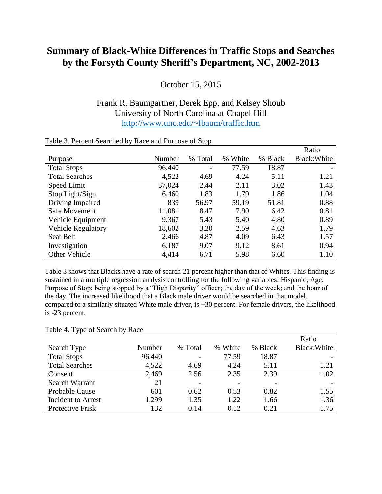## **Summary of Black-White Differences in Traffic Stops and Searches by the Forsyth County Sheriff's Department, NC, 2002-2013**

October 15, 2015

## Frank R. Baumgartner, Derek Epp, and Kelsey Shoub University of North Carolina at Chapel Hill <http://www.unc.edu/~fbaum/traffic.htm>

|                           |        |         |               |         | Ratio        |
|---------------------------|--------|---------|---------------|---------|--------------|
| Purpose                   | Number | % Total | White<br>$\%$ | % Black | Black: White |
| <b>Total Stops</b>        | 96,440 | ۰       | 77.59         | 18.87   |              |
| <b>Total Searches</b>     | 4,522  | 4.69    | 4.24          | 5.11    | 1.21         |
| Speed Limit               | 37,024 | 2.44    | 2.11          | 3.02    | 1.43         |
| Stop Light/Sign           | 6,460  | 1.83    | 1.79          | 1.86    | 1.04         |
| Driving Impaired          | 839    | 56.97   | 59.19         | 51.81   | 0.88         |
| Safe Movement             | 11,081 | 8.47    | 7.90          | 6.42    | 0.81         |
| Vehicle Equipment         | 9,367  | 5.43    | 5.40          | 4.80    | 0.89         |
| <b>Vehicle Regulatory</b> | 18,602 | 3.20    | 2.59          | 4.63    | 1.79         |
| Seat Belt                 | 2,466  | 4.87    | 4.09          | 6.43    | 1.57         |
| Investigation             | 6,187  | 9.07    | 9.12          | 8.61    | 0.94         |
| Other Vehicle             | 4,414  | 6.71    | 5.98          | 6.60    | 1.10         |

## Table 3. Percent Searched by Race and Purpose of Stop

Table 3 shows that Blacks have a rate of search 21 percent higher than that of Whites. This finding is sustained in a multiple regression analysis controlling for the following variables: Hispanic; Age; Purpose of Stop; being stopped by a "High Disparity" officer; the day of the week; and the hour of the day. The increased likelihood that a Black male driver would be searched in that model, compared to a similarly situated White male driver, is +30 percent. For female drivers, the likelihood is -23 percent.

## Table 4. Type of Search by Race

|                       |        |         |         |         | Ratio        |
|-----------------------|--------|---------|---------|---------|--------------|
| Search Type           | Number | % Total | % White | % Black | Black: White |
| <b>Total Stops</b>    | 96,440 |         | 77.59   | 18.87   |              |
| <b>Total Searches</b> | 4,522  | 4.69    | 4.24    | 5.11    | 1.21         |
| Consent               | 2,469  | 2.56    | 2.35    | 2.39    | 1.02         |
| Search Warrant        | 21     |         |         |         |              |
| <b>Probable Cause</b> | 601    | 0.62    | 0.53    | 0.82    | 1.55         |
| Incident to Arrest    | 1,299  | 1.35    | 1.22.   | 1.66    | 1.36         |
| Protective Frisk      | 132    | 0.14    | 0.12    | 0.21    | 1.75         |